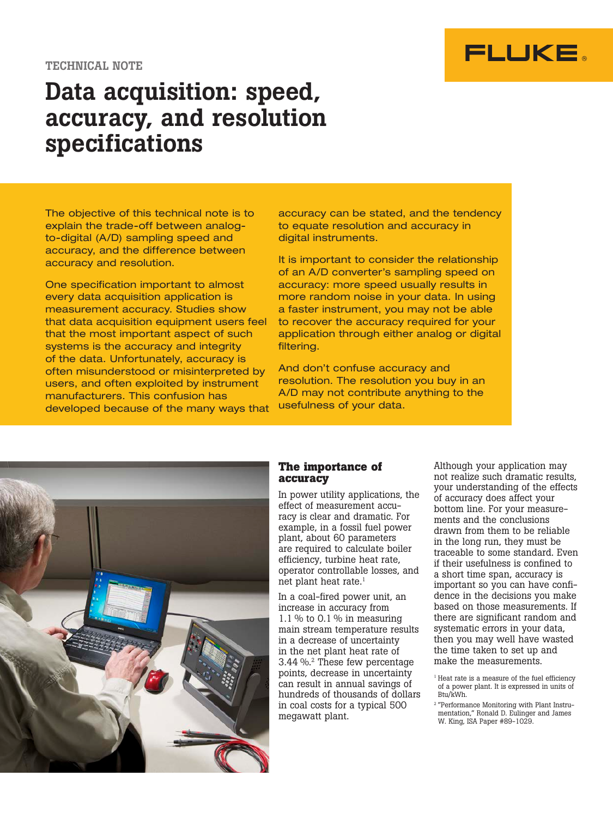

# Data acquisition: speed, accuracy, and resolution specifications

Let urginal (*VVD)* camping oppose and The objective of this technical note is to explain the trade-off between analogto-digital (A/D) sampling speed and accuracy and resolution.

One specification important to almost every data acquisition application is measurement accuracy. Studies show that data acquisition equipment users feel that the most important aspect of such systems is the accuracy and integrity of the data. Unfortunately, accuracy is often misunderstood or misinterpreted by users, and often exploited by instrument manufacturers. This confusion has developed because of the many ways that accuracy can be stated, and the tendency to equate resolution and accuracy in digital instruments.

It is important to consider the relationship of an A/D converter's sampling speed on accuracy: more speed usually results in more random noise in your data. In using a faster instrument, you may not be able to recover the accuracy required for your application through either analog or digital filtering.

And don't confuse accuracy and resolution. The resolution you buy in an A/D may not contribute anything to the usefulness of your data.



## **The importance of accuracy**

In power utility applications, the effect of measurement accuracy is clear and dramatic. For example, in a fossil fuel power plant, about 60 parameters are required to calculate boiler efficiency, turbine heat rate, operator controllable losses, and net plant heat rate.<sup>1</sup>

In a coal-fired power unit, an increase in accuracy from  $1.1\%$  to 0.1% in measuring main stream temperature results in a decrease of uncertainty in the net plant heat rate of 3.44 %.2 These few percentage points, decrease in uncertainty can result in annual savings of hundreds of thousands of dollars in coal costs for a typical 500 megawatt plant.

Although your application may not realize such dramatic results, your understanding of the effects of accuracy does affect your bottom line. For your measurements and the conclusions drawn from them to be reliable in the long run, they must be traceable to some standard. Even if their usefulness is confined to a short time span, accuracy is important so you can have confidence in the decisions you make based on those measurements. If there are significant random and systematic errors in your data, then you may well have wasted the time taken to set up and make the measurements.

<sup>&</sup>lt;sup>1</sup> Heat rate is a measure of the fuel efficiency of a power plant. It is expressed in units of Btu/kWh.

<sup>2</sup> "Performance Monitoring with Plant Instrumentation," Ronald D. Eulinger and James W. King, ISA Paper #89-1029.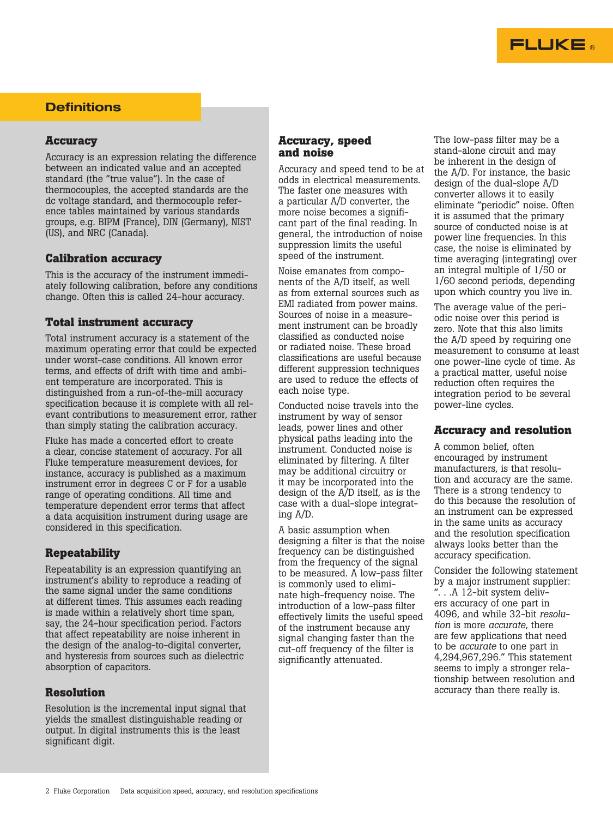

# **Definitions**

## **Accuracy**

Accuracy is an expression relating the difference between an indicated value and an accepted standard (the "true value"). In the case of thermocouples, the accepted standards are the dc voltage standard, and thermocouple reference tables maintained by various standards groups, e.g. BIPM (France), DIN (Germany), NIST (US), and NRC (Canada).

### **Calibration accuracy**

This is the accuracy of the instrument immediately following calibration, before any conditions change. Often this is called 24-hour accuracy.

# **Total instrument accuracy**

Total instrument accuracy is a statement of the maximum operating error that could be expected under worst-case conditions. All known error terms, and effects of drift with time and ambient temperature are incorporated. This is distinguished from a run-of-the-mill accuracy specification because it is complete with all relevant contributions to measurement error, rather than simply stating the calibration accuracy.

Fluke has made a concerted effort to create a clear, concise statement of accuracy. For all Fluke temperature measurement devices, for instance, accuracy is published as a maximum instrument error in degrees C or F for a usable range of operating conditions. All time and temperature dependent error terms that affect a data acquisition instrument during usage are considered in this specification.

# **Repeatability**

Repeatability is an expression quantifying an instrument's ability to reproduce a reading of the same signal under the same conditions at different times. This assumes each reading is made within a relatively short time span, say, the 24-hour specification period. Factors that affect repeatability are noise inherent in the design of the analog-to-digital converter, and hysteresis from sources such as dielectric absorption of capacitors.

### **Resolution**

Resolution is the incremental input signal that yields the smallest distinguishable reading or output. In digital instruments this is the least significant digit.

### **Accuracy, speed and noise**

Accuracy and speed tend to be at odds in electrical measurements. The faster one measures with a particular A/D converter, the more noise becomes a significant part of the final reading. In general, the introduction of noise suppression limits the useful speed of the instrument.

Noise emanates from components of the A/D itself, as well as from external sources such as EMI radiated from power mains. Sources of noise in a measurement instrument can be broadly classified as conducted noise or radiated noise. These broad classifications are useful because different suppression techniques are used to reduce the effects of each noise type.

Conducted noise travels into the instrument by way of sensor leads, power lines and other physical paths leading into the instrument. Conducted noise is eliminated by filtering. A filter may be additional circuitry or it may be incorporated into the design of the A/D itself, as is the case with a dual-slope integrating A/D.

A basic assumption when designing a filter is that the noise frequency can be distinguished from the frequency of the signal to be measured. A low-pass filter is commonly used to eliminate high-frequency noise. The introduction of a low-pass filter effectively limits the useful speed of the instrument because any signal changing faster than the cut-off frequency of the filter is significantly attenuated.

The low-pass filter may be a stand-alone circuit and may be inherent in the design of the A/D. For instance, the basic design of the dual-slope A/D converter allows it to easily eliminate "periodic" noise. Often it is assumed that the primary source of conducted noise is at power line frequencies. In this case, the noise is eliminated by time averaging (integrating) over an integral multiple of 1/50 or 1/60 second periods, depending upon which country you live in.

The average value of the periodic noise over this period is zero. Note that this also limits the A/D speed by requiring one measurement to consume at least one power-line cycle of time. As a practical matter, useful noise reduction often requires the integration period to be several power-line cycles.

### **Accuracy and resolution**

A common belief, often encouraged by instrument manufacturers, is that resolution and accuracy are the same. There is a strong tendency to do this because the resolution of an instrument can be expressed in the same units as accuracy and the resolution specification always looks better than the accuracy specification.

Consider the following statement by a major instrument supplier: ". . .A 12-bit system delivers accuracy of one part in 4096, and while 32-bit *resolution* is more *accurate*, there are few applications that need to be *accurate* to one part in 4,294,967,296." This statement seems to imply a stronger relationship between resolution and accuracy than there really is.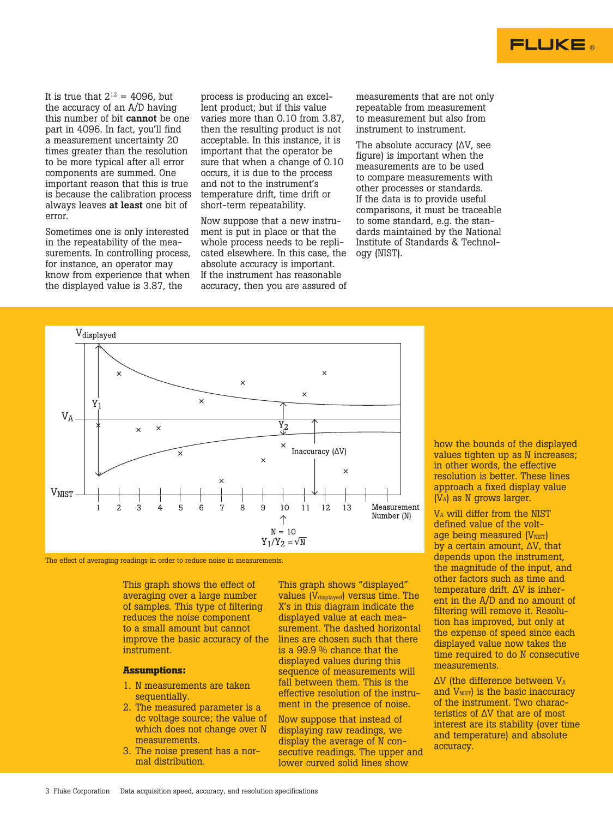

It is true that  $2^{12} = 4096$ , but the accuracy of an A/D having this number of bit cannot be one part in 4096. In fact, you'll find a measurement uncertainty 20 times greater than the resolution to be more typical after all error components are summed. One important reason that this is true is because the calibration process always leaves at least one bit of error.

Sometimes one is only interested in the repeatability of the measurements. In controlling process, for instance, an operator may know from experience that when the displayed value is 3.87, the

process is producing an excellent product; but if this value varies more than 0.10 from 3.87, then the resulting product is not acceptable. In this instance, it is important that the operator be sure that when a change of 0.10 occurs, it is due to the process and not to the instrument's temperature drift, time drift or short-term repeatability.

Now suppose that a new instrument is put in place or that the whole process needs to be replicated elsewhere. In this case, the absolute accuracy is important. If the instrument has reasonable accuracy, then you are assured of

measurements that are not only repeatable from measurement to measurement but also from instrument to instrument.

The absolute accuracy (∆V, see figure) is important when the measurements are to be used to compare measurements with other processes or standards. If the data is to provide useful comparisons, it must be traceable to some standard, e.g. the standards maintained by the National Institute of Standards & Technology (NIST).



The effect of averaging readings in order to reduce noise in measurements.

This graph shows the effect of averaging over a large number of samples. This type of filtering reduces the noise component to a small amount but cannot improve the basic accuracy of the instrument.

#### **Assumptions:**

- 1. N measurements are taken sequentially.
- 2. The measured parameter is a dc voltage source; the value of which does not change over N measurements.
- 3. The noise present has a normal distribution.

This graph shows "displayed" values (V<sub>displayed</sub>) versus time. The X's in this diagram indicate the displayed value at each measurement. The dashed horizontal lines are chosen such that there is a 99.9 % chance that the displayed values during this sequence of measurements will fall between them. This is the effective resolution of the instrument in the presence of noise.

Now suppose that instead of displaying raw readings, we display the average of N consecutive readings. The upper and lower curved solid lines show

how the bounds of the displayed values tighten up as N increases; in other words, the effective resolution is better. These lines approach a fixed display value (VA) as N grows larger.

VA will differ from the NIST defined value of the voltage being measured (V<sub>NIST</sub>) by a certain amount, ∆V, that depends upon the instrument, the magnitude of the input, and other factors such as time and temperature drift. ∆V is inherent in the A/D and no amount of filtering will remove it. Resolution has improved, but only at the expense of speed since each displayed value now takes the time required to do N consecutive measurements.

∆V (the difference between VA and V<sub>NIST</sub>) is the basic inaccuracy of the instrument. Two characteristics of ∆V that are of most interest are its stability (over time and temperature) and absolute accuracy.